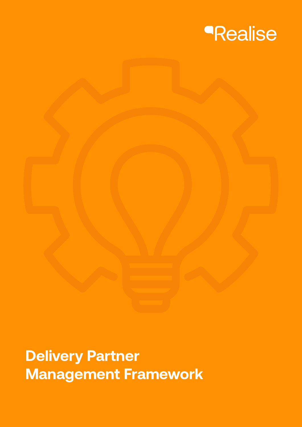

**Delivery Partner Management Framework**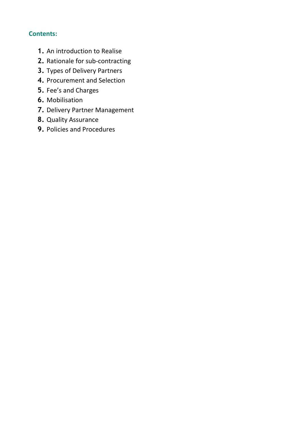# **Contents:**

- **1.** An introduction to Realise
- **2.** Rationale for sub-contracting
- **3.** Types of Delivery Partners
- **4.** Procurement and Selection
- **5.** Fee's and Charges
- **6.** Mobilisation
- **7.** Delivery Partner Management
- **8.** Quality Assurance
- **9.** Policies and Procedures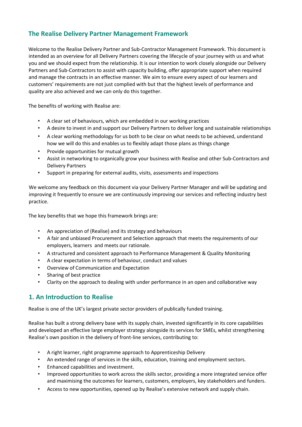# **The Realise Delivery Partner Management Framework**

Welcome to the Realise Delivery Partner and Sub-Contractor Management Framework. This document is intended as an overview for all Delivery Partners covering the lifecycle of your journey with us and what you and we should expect from the relationship. It is our intention to work closely alongside our Delivery Partners and Sub-Contractors to assist with capacity building, offer appropriate support when required and manage the contracts in an effective manner. We aim to ensure every aspect of our learners and customers' requirements are not just complied with but that the highest levels of performance and quality are also achieved and we can only do this together.

The benefits of working with Realise are:

- A clear set of behaviours, which are embedded in our working practices
- A desire to invest in and support our Delivery Partners to deliver long and sustainable relationships
- A clear working methodology for us both to be clear on what needs to be achieved, understand how we will do this and enables us to flexibly adapt those plans as things change
- Provide opportunities for mutual growth
- Assist in networking to organically grow your business with Realise and other Sub-Contractors and Delivery Partners
- Support in preparing for external audits, visits, assessments and inspections

We welcome any feedback on this document via your Delivery Partner Manager and will be updating and improving it frequently to ensure we are continuously improving our services and reflecting industry best practice.

The key benefits that we hope this framework brings are:

- An appreciation of (Realise) and its strategy and behaviours
- A fair and unbiased Procurement and Selection approach that meets the requirements of our employers, learners and meets our rationale.
- A structured and consistent approach to Performance Management & Quality Monitoring
- A clear expectation in terms of behaviour, conduct and values
- Overview of Communication and Expectation
- Sharing of best practice
- Clarity on the approach to dealing with under performance in an open and collaborative way

# **1. An Introduction to Realise**

Realise is one of the UK's largest private sector providers of publically funded training.

Realise has built a strong delivery base with its supply chain, invested significantly in its core capabilities and developed an effective large employer strategy alongside its services for SMEs, whilst strengthening Realise's own position in the delivery of front-line services, contributing to:

- A right learner, right programme approach to Apprenticeship Delivery
- An extended range of services in the skills, education, training and employment sectors.
- Enhanced capabilities and investment.
- Improved opportunities to work across the skills sector, providing a more integrated service offer and maximising the outcomes for learners, customers, employers, key stakeholders and funders.
- Access to new opportunities, opened up by Realise's extensive network and supply chain.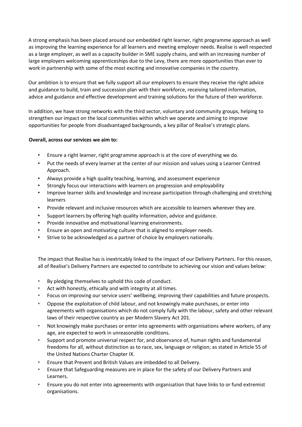A strong emphasis has been placed around our embedded right learner, right programme approach as well as improving the learning experience for all learners and meeting employer needs. Realise is well respected as a large employer, as well as a capacity builder in SME supply chains, and with an increasing number of large employers welcoming apprenticeships due to the Levy, there are more opportunities than ever to work in partnership with some of the most exciting and innovative companies in the country.

Our ambition is to ensure that we fully support all our employers to ensure they receive the right advice and guidance to build, train and succession plan with their workforce, receiving tailored information, advice and guidance and effective development and training solutions for the future of their workforce.

In addition, we have strong networks with the third sector, voluntary and community groups, helping to strengthen our impact on the local communities within which we operate and aiming to improve opportunities for people from disadvantaged backgrounds, a key pillar of Realise's strategic plans.

### **Overall, across our services we aim to:**

- Ensure a right learner, right programme approach is at the core of everything we do.
- Put the needs of every learner at the center of our mission and values using a Learner Centred Approach.
- Always provide a high quality teaching, learning, and assessment experience
- Strongly focus our interactions with learners on progression and employability
- Improve learner skills and knowledge and increase participation through challenging and stretching learners
- Provide relevant and inclusive resources which are accessible to learners wherever they are.
- Support learners by offering high quality information, advice and guidance.
- Provide innovative and motivational learning environments.
- Ensure an open and motivating culture that is aligned to employer needs.
- Strive to be acknowledged as a partner of choice by employers nationally.

The impact that Realise has is inextricably linked to the impact of our Delivery Partners. For this reason, all of Realise's Delivery Partners are expected to contribute to achieving our vision and values below:

- By pledging themselves to uphold this code of conduct.
- Act with honestly, ethically and with integrity at all times.
- Focus on improving our service users' wellbeing; improving their capabilities and future prospects.
- Oppose the exploitation of child labour, and not knowingly make purchases, or enter into agreements with organisations which do not comply fully with the labour, safety and other relevant laws of their respective country as per Modern Slavery Act 201.
- Not knowingly make purchases or enter into agreements with organisations where workers, of any age, are expected to work in unreasonable conditions.
- Support and promote universal respect for, and observance of, human rights and fundamental freedoms for all, without distinction as to race, sex, language or religion; as stated in Article 55 of the United Nations Charter Chapter IX.
- Ensure that Prevent and British Values are imbedded to all Delivery.
- Ensure that Safeguarding measures are in place for the safety of our Delivery Partners and Learners.
- Ensure you do not enter into agreeements with organisation that have links to or fund extremist organisations.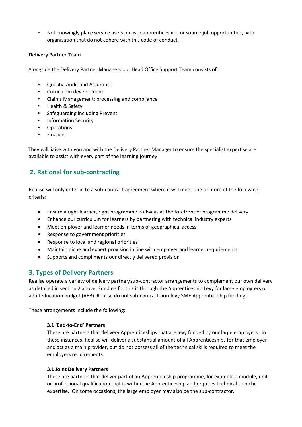• Not knowingly place service users, deliver apprenticeships or source job opportunities, with organisation that do not cohere with this code of conduct.

### **Delivery Partner Team**

Alongside the Delivery Partner Managers our Head Office Support Team consists of:

- Quality, Audit and Assurance
- Curriculum development
- Claims Management; processing and compliance
- Health & Safety
- Safeguarding including Prevent
- Information Security
- **Operations**
- Finance

They will liaise with you and with the Delivery Partner Manager to ensure the specialist expertise are available to assist with every part of the learning journey.

# **2. Rational for sub-contracting**

Realise will only enter in to a sub-contract agreement where it will meet one or more of the following criteria:

- Ensure a right learner, right programme is always at the forefront of programme delivery
- Enhance our curriculum for learners by partnering with technical industry experts
- Meet employer and learner needs in terms of geographical access
- Response to government priorities
- Response to local and regional priorities
- Maintain niche and expert provision in line with employer and learner requriements
- Supports and compliments our directly delivered provision

# **3. Types of Delivery Partners**

Realise operate a variety of delivery partner/sub-contractor arrangements to complement our own delivery as detailed in section 2 above. Funding for this is through the Apprenticeship Levy for large employters or adulteducation budget (AEB). Realise do not sub-contract non-levy SME Apprenticeship funding.

These arrangements include the following:

## **3.1 'End-to-End' Partners**

These are partners that delivery Apprenticeships that are levy funded by our large employers. In these instances, Realise will deliver a substantial amount of all Apprenticeships for that employer and act as a main provider, but do not possess all of the technical skills required to meet the employers requirements.

#### **3.1 Joint Delivery Partners**

These are partners that deliver part of an Apprenticeship programme, for example a module, unit or professional qualification that is within the Apprenticeship and requires technical or niche expertise. On some occasions, the large employer may also be the sub-contractor.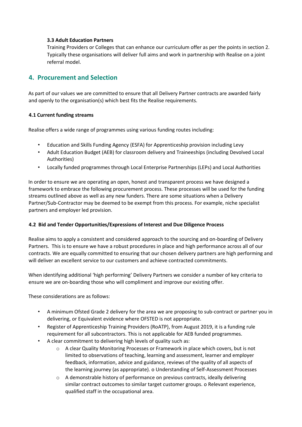### **3.3 Adult Education Partners**

Training Providers or Colleges that can enhance our curriculum offer as per the points in section 2. Typically these organisations will deliver full aims and work in partnership with Realise on a joint referral model.

# **4. Procurement and Selection**

As part of our values we are committed to ensure that all Delivery Partner contracts are awarded fairly and openly to the organisation(s) which best fits the Realise requirements.

### **4.1 Current funding streams**

Realise offers a wide range of programmes using various funding routes including:

- Education and Skills Funding Agency (ESFA) for Apprenticeship provision including Levy
- Adult Education Budget (AEB) for classroom delivery and Traineeships (including Devolved Local Authorities)
- Locally funded programmes through Local Enterprise Partnerships (LEPs) and Local Authorities

In order to ensure we are operating an open, honest and transparent process we have designed a framework to embrace the following procurement process. These processes will be used for the funding streams outlined above as well as any new funders. There are some situations when a Delivery Partner/Sub-Contractor may be deemed to be exempt from this process. For example, niche specialist partners and employer led provision.

#### **4.2 Bid and Tender Opportunities/Expressions of Interest and Due Diligence Process**

Realise aims to apply a consistent and considered approach to the sourcing and on-boarding of Delivery Partners. This is to ensure we have a robust procedures in place and high performance across all of our contracts. We are equally committed to ensuring that our chosen delivery partners are high performing and will deliver an excellent service to our customers and achieve contracted commitments.

When identifying additional 'high performing' Delivery Partners we consider a number of key criteria to ensure we are on-boarding those who will compliment and improve our existing offer.

These considerations are as follows:

- A minimum Ofsted Grade 2 delivery for the area we are proposing to sub-contract or partner you in delivering, or Equivalent evidence where OFSTED is not appropriate.
- Register of Apprenticeship Training Providers (RoATP), from August 2019, it is a funding rule requirement for all subcontractors. This is not applicable for AEB funded programmes.
- A clear commitment to delivering high levels of quality such as:
	- o A clear Quality Monitoring Processes or Framework in place which covers, but is not limited to observations of teaching, learning and assessment, learner and employer feedback, information, advice and guidance, reviews of the quality of all aspects of the learning journey (as appropriate). o Understanding of Self-Assessment Processes
	- o A demonstrable history of performance on previous contracts, ideally delivering similar contract outcomes to similar target customer groups. o Relevant experience, qualified staff in the occupational area.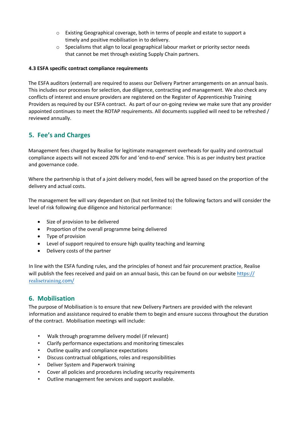- o Existing Geographical coverage, both in terms of people and estate to support a timely and positive mobilisation in to delivery.
- o Specialisms that align to local geographical labour market or priority sector needs that cannot be met through existing Supply Chain partners.

### **4.3 ESFA specific contract compliance requirements**

The ESFA auditors (external) are required to assess our Delivery Partner arrangements on an annual basis. This includes our processes for selection, due diligence, contracting and management. We also check any conflicts of interest and ensure providers are registered on the Register of Apprenticeship Training Providers as required by our ESFA contract. As part of our on-going review we make sure that any provider appointed continues to meet the ROTAP requirements. All documents supplied will need to be refreshed / reviewed annually.

# **5. Fee's and Charges**

Management fees charged by Realise for legitimate management overheads for quality and contractual compliance aspects will not exceed 20% for and 'end-to-end' service. This is as per industry best practice and governance code.

Where the partnership is that of a joint delivery model, fees will be agreed based on the proportion of the delivery and actual costs.

The management fee will vary dependant on (but not limited to) the following factors and will consider the level of risk following due diligence and historical performance:

- Size of provision to be delivered
- Proportion of the overall programme being delivered
- Type of provision
- Level of support required to ensure high quality teaching and learning
- Delivery costs of the partner

In line with the ESFA funding rules, and the principles of honest and fair procurement practice, Realise will publish the fees received and paid on an annual basis, this can be found on our we[bsite https://](https://learning-employment.com/) [realisetraining](https://learning-employment.com/).com/

# **6. Mobilisation**

The purpose of Mobilisation is to ensure that new Delivery Partners are provided with the relevant information and assistance required to enable them to begin and ensure success throughout the duration of the contract. Mobilisation meetings will include:

- Walk through programme delivery model (if relevant)
- Clarify performance expectations and monitoring timescales
- Outline quality and compliance expectations
- Discuss contractual obligations, roles and responsibilities
- Deliver System and Paperwork training
- Cover all policies and procedures including security requirements
- Outline management fee services and support available.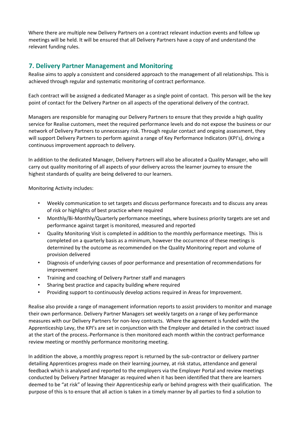Where there are multiple new Delivery Partners on a contract relevant induction events and follow up meetings will be held. It will be ensured that all Delivery Partners have a copy of and understand the relevant funding rules.

# **7. Delivery Partner Management and Monitoring**

Realise aims to apply a consistent and considered approach to the management of all relationships. This is achieved through regular and systematic monitoring of contract performance.

Each contract will be assigned a dedicated Manager as a single point of contact. This person will be the key point of contact for the Delivery Partner on all aspects of the operational delivery of the contract.

Managers are responsible for managing our Delivery Partners to ensure that they provide a high quality service for Realise customers, meet the required performance levels and do not expose the business or our network of Delivery Partners to unnecessary risk. Through regular contact and ongoing assessment, they will support Delivery Partners to perform against a range of Key Performance Indicators (KPI's), driving a continuous improvement approach to delivery.

In addition to the dedicated Manager, Delivery Partners will also be allocated a Quality Manager, who will carry out quality monitoring of all aspects of your delivery across the learner journey to ensure the highest standards of quality are being delivered to our learners.

Monitoring Activity includes:

- Weekly communication to set targets and discuss performance forecasts and to discuss any areas of risk or highlights of best practice where required
- Monthly/Bi-Monthly/Quarterly performance meetings, where business priority targets are set and performance against target is monitored, measured and reported
- Quality Monitoring Visit is completed in addition to the monthly performance meetings. This is completed on a quarterly basis as a minimum, however the occurrence of these meetings is determined by the outcome as recommended on the Quality Monitoring report and volume of provision delivered
- Diagnosis of underlying causes of poor performance and presentation of recommendations for improvement
- Training and coaching of Delivery Partner staff and managers
- Sharing best practice and capacity building where required
- Providing support to continuously develop actions required in Areas for Improvement.

Realise also provide a range of management information reports to assist providers to monitor and manage their own performance. Delivery Partner Managers set weekly targets on a range of key performance measures with our Delivery Partners for non-levy contracts. Where the agreement is funded with the Apprenticeship Levy, the KPI's are set in conjunction with the Employer and detailed in the contract issued at the start of the process. Performance is then monitored each month within the contract performance review meeting or monthly performance monitoring meeting.

In addition the above, a monthly progress report is returned by the sub-contractor or delivery partner detailing Apprentices progress made on their learning journey, at risk status, attendance and general feedback which is analysed and reported to the employers via the Employer Portal and review meetings conducted by Delivery Partner Manager as required when it has been identified that there are learners deemed to be "at risk" of leaving their Apprenticeship early or behind progress with their qualification. The purpose of this is to ensure that all action is taken in a timely manner by all parties to find a solution to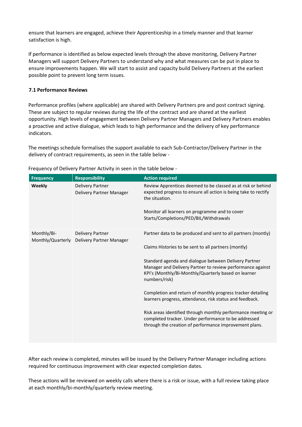ensure that learners are engaged, achieve their Apprenticeship in a timely manner and that learner satisfaction is high.

If performance is identified as below expected levels through the above monitoring, Delivery Partner Managers will support Delivery Partners to understand why and what measures can be put in place to ensure improvements happen. We will start to assist and capacity build Delivery Partners at the earliest possible point to prevent long term issues.

### **7.1 Performance Reviews**

Performance profiles (where applicable) are shared with Delivery Partners pre and post contract signing. These are subject to regular reviews during the life of the contract and are shared at the earliest opportunity. High levels of engagement between Delivery Partner Managers and Delivery Partners enables a proactive and active dialogue, which leads to high performance and the delivery of key performance indicators.

The meetings schedule formalises the support available to each Sub-Contractor/Delivery Partner in the delivery of contract requirements, as seen in the table below -

| <b>Frequency</b>                 | <b>Responsibility</b>                               | <b>Action required</b>                                                                                                                                                                                                                        |
|----------------------------------|-----------------------------------------------------|-----------------------------------------------------------------------------------------------------------------------------------------------------------------------------------------------------------------------------------------------|
| Weekly                           | <b>Delivery Partner</b><br>Delivery Partner Manager | Review Apprentices deemed to be classed as at risk or behind<br>expected progress to ensure all action is being take to rectify<br>the situation.<br>Monitor all learners on programme and to cover<br>Starts/Completions/PED/BIL/Withdrawals |
| Monthly/Bi-<br>Monthly/Quarterly | <b>Delivery Partner</b><br>Delivery Partner Manager | Partner data to be produced and sent to all partners (montly)<br>Claims Histories to be sent to all partners (montly)                                                                                                                         |
|                                  |                                                     | Standard agenda and dialogue between Delivery Partner<br>Manager and Delivery Partner to review performance against<br>KPI's (Monthly/Bi-Monthly/Quarterly based on learner<br>numbers/risk)                                                  |
|                                  |                                                     | Completion and return of monthly progress tracker detailing<br>learners progress, attendance, risk status and feedback.                                                                                                                       |
|                                  |                                                     | Risk areas identified through monthly performance meeting or<br>completed tracker. Under performance to be addressed<br>through the creation of performance improvement plans.                                                                |

Frequency of Delivery Partner Activity in seen in the table below -

After each review is completed, minutes will be issued by the Delivery Partner Manager including actions required for continuous improvement with clear expected completion dates.

These actions will be reviewed on weekly calls where there is a risk or issue, with a full review taking place at each monthly/bi-monthly/quarterly review meeting.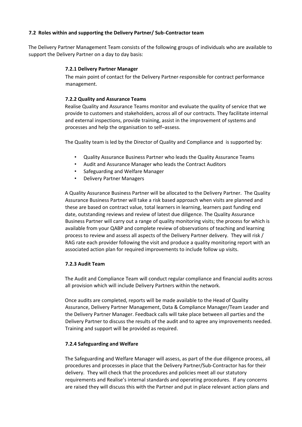### **7.2 Roles within and supporting the Delivery Partner/ Sub-Contractor team**

The Delivery Partner Management Team consists of the following groups of individuals who are available to support the Delivery Partner on a day to day basis:

#### **7.2.1 Delivery Partner Manager**

The main point of contact for the Delivery Partner responsible for contract performance management.

#### **7.2.2 Quality and Assurance Teams**

Realise Quality and Assurance Teams monitor and evaluate the quality of service that we provide to customers and stakeholders, across all of our contracts. They facilitate internal and external inspections, provide training, assist in the improvement of systems and processes and help the organisation to self–assess.

The Quality team is led by the Director of Quality and Compliance and is supported by:

- Quality Assurance Business Partner who leads the Quality Assurance Teams
- Audit and Assurance Manager who leads the Contract Auditors
- Safeguarding and Welfare Manager
- Delivery Partner Managers

A Quality Assurance Business Partner will be allocated to the Delivery Partner. The Quality Assurance Business Partner will take a risk based approach when visits are planned and these are based on contract value, total learners in learning, learners past funding end date, outstanding reviews and review of latest due diligence. The Quality Assurance Business Partner will carry out a range of quality monitoring visits; the process for which is available from your QABP and complete review of observations of teaching and learning process to review and assess all aspects of the Delivery Partner delivery. They will risk / RAG rate each provider following the visit and produce a quality monitoring report with an associated action plan for required improvements to include follow up visits.

#### **7.2.3 Audit Team**

The Audit and Compliance Team will conduct regular compliance and financial audits across all provision which will include Delivery Partners within the network.

Once audits are completed, reports will be made available to the Head of Quality Assurance, Delivery Partner Management, Data & Compliance Manager/Team Leader and the Delivery Partner Manager. Feedback calls will take place between all parties and the Delivery Partner to discuss the results of the audit and to agree any improvements needed. Training and support will be provided as required.

#### **7.2.4 Safeguarding and Welfare**

The Safeguarding and Welfare Manager will assess, as part of the due diligence process, all procedures and processes in place that the Delivery Partner/Sub-Contractor has for their delivery. They will check that the procedures and policies meet all our statutory requirements and Realise's internal standards and operating procedures. If any concerns are raised they will discuss this with the Partner and put in place relevant action plans and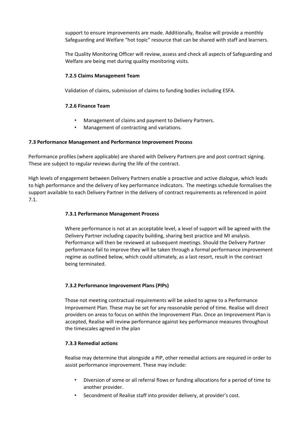support to ensure improvements are made. Additionally, Realise will provide a monthly Safeguarding and Welfare "hot topic" resource that can be shared with staff and learners.

The Quality Monitoring Officer will review, assess and check all aspects of Safeguarding and Welfare are being met during quality monitoring visits.

### **7.2.5 Claims Management Team**

Validation of claims, submission of claims to funding bodies including ESFA.

#### **7.2.6 Finance Team**

- Management of claims and payment to Delivery Partners.
- Management of contracting and variations.

#### **7.3 Performance Management and Performance Improvement Process**

Performance profiles (where applicable) are shared with Delivery Partners pre and post contract signing. These are subject to regular reviews during the life of the contract.

High levels of engagement between Delivery Partners enable a proactive and active dialogue, which leads to high performance and the delivery of key performance indicators. The meetings schedule formalises the support available to each Delivery Partner in the delivery of contract requirements as referenced in point 7.1.

#### **7.3.1 Performance Management Process**

Where performance is not at an acceptable level, a level of support will be agreed with the Delivery Partner including capacity building, sharing best practice and MI analysis. Performance will then be reviewed at subsequent meetings. Should the Delivery Partner performance fail to improve they will be taken through a formal performance improvement regime as outlined below, which could ultimately, as a last resort, result in the contract being terminated.

## **7.3.2 Performance Improvement Plans (PIPs)**

Those not meeting contractual requirements will be asked to agree to a Performance Improvement Plan. These may be set for any reasonable period of time. Realise will direct providers on areas to focus on within the Improvement Plan. Once an Improvement Plan is accepted, Realise will review performance against key performance measures throughout the timescales agreed in the plan

#### **7.3.3 Remedial actions**

Realise may determine that alongside a PIP, other remedial actions are required in order to assist performance improvement. These may include:

- Diversion of some or all referral flows or funding allocations for a period of time to another provider.
- Secondment of Realise staff into provider delivery, at provider's cost.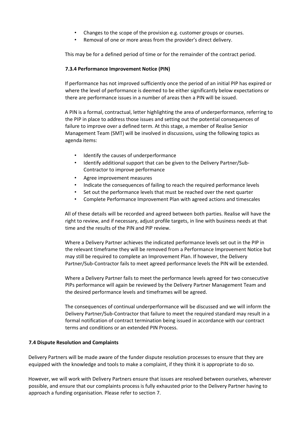- Changes to the scope of the provision e.g. customer groups or courses.
- Removal of one or more areas from the provider's direct delivery.

This may be for a defined period of time or for the remainder of the contract period.

#### **7.3.4 Performance Improvement Notice (PIN)**

If performance has not improved sufficiently once the period of an initial PIP has expired or where the level of performance is deemed to be either significantly below expectations or there are performance issues in a number of areas then a PIN will be issued.

A PIN is a formal, contractual, letter highlighting the area of underperformance, referring to the PIP in place to address those issues and setting out the potential consequences of failure to improve over a defined term. At this stage, a member of Realise Senior Management Team (SMT) will be involved in discussions, using the following topics as agenda items:

- Identify the causes of underperformance
- Identify additional support that can be given to the Delivery Partner/Sub-Contractor to improve performance
- Agree improvement measures
- Indicate the consequences of failing to reach the required performance levels
- Set out the performance levels that must be reached over the next quarter
- Complete Performance Improvement Plan with agreed actions and timescales

All of these details will be recorded and agreed between both parties. Realise will have the right to review, and if necessary, adjust profile targets, in line with business needs at that time and the results of the PIN and PIP review.

Where a Delivery Partner achieves the indicated performance levels set out in the PIP in the relevant timeframe they will be removed from a Performance Improvement Notice but may still be required to complete an Improvement Plan. If however, the Delivery Partner/Sub-Contractor fails to meet agreed performance levels the PIN will be extended.

Where a Delivery Partner fails to meet the performance levels agreed for two consecutive PIPs performance will again be reviewed by the Delivery Partner Management Team and the desired performance levels and timeframes will be agreed.

The consequences of continual underperformance will be discussed and we will inform the Delivery Partner/Sub-Contractor that failure to meet the required standard may result in a formal notification of contract termination being issued in accordance with our contract terms and conditions or an extended PIN Process.

#### **7.4 Dispute Resolution and Complaints**

Delivery Partners will be made aware of the funder dispute resolution processes to ensure that they are equipped with the knowledge and tools to make a complaint, if they think it is appropriate to do so.

However, we will work with Delivery Partners ensure that issues are resolved between ourselves, wherever possible, and ensure that our complaints process is fully exhausted prior to the Delivery Partner having to approach a funding organisation. Please refer to section 7.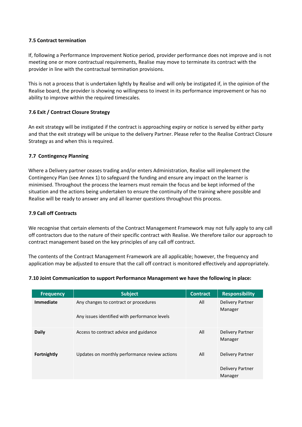### **7.5 Contract termination**

If, following a Performance Improvement Notice period, provider performance does not improve and is not meeting one or more contractual requirements, Realise may move to terminate its contract with the provider in line with the contractual termination provisions.

This is not a process that is undertaken lightly by Realise and will only be instigated if, in the opinion of the Realise board, the provider is showing no willingness to invest in its performance improvement or has no ability to improve within the required timescales.

## **7.6 Exit / Contract Closure Strategy**

An exit strategy will be instigated if the contract is approaching expiry or notice is served by either party and that the exit strategy will be unique to the delivery Partner. Please refer to the Realise Contract Closure Strategy as and when this is required.

### **7.7 Contingency Planning**

Where a Delivery partner ceases trading and/or enters Administration, Realise will implement the Contingency Plan (see Annex 1) to safeguard the funding and ensure any impact on the learner is minimised. Throughout the process the learners must remain the focus and be kept informed of the situation and the actions being undertaken to ensure the continuity of the training where possible and Realise will be ready to answer any and all learner questions throughout this process.

#### **7.9 Call off Contracts**

We recognise that certain elements of the Contract Management Framework may not fully apply to any call off contractors due to the nature of their specific contract with Realise. We therefore tailor our approach to contract management based on the key principles of any call off contract.

The contents of the Contract Management Framework are all applicable; however, the frequency and application may be adjusted to ensure that the call off contract is monitored effectively and appropriately.

#### **7.10 Joint Communication to support Performance Management we have the following in place:**

| <b>Frequency</b> | <b>Subject</b>                                                                         | <b>Contract</b> | <b>Responsibility</b>                                         |
|------------------|----------------------------------------------------------------------------------------|-----------------|---------------------------------------------------------------|
| <b>Immediate</b> | Any changes to contract or procedures<br>Any issues identified with performance levels | All             | <b>Delivery Partner</b><br>Manager                            |
| <b>Daily</b>     | Access to contract advice and guidance                                                 | All             | <b>Delivery Partner</b><br>Manager                            |
| Fortnightly      | Updates on monthly performance review actions                                          | All             | <b>Delivery Partner</b><br><b>Delivery Partner</b><br>Manager |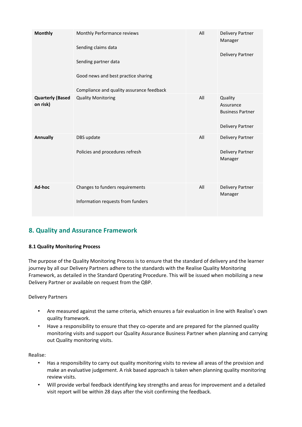| <b>Monthly</b>                      | Monthly Performance reviews<br>Sending claims data<br>Sending partner data<br>Good news and best practice sharing<br>Compliance and quality assurance feedback | All | <b>Delivery Partner</b><br>Manager<br><b>Delivery Partner</b>              |
|-------------------------------------|----------------------------------------------------------------------------------------------------------------------------------------------------------------|-----|----------------------------------------------------------------------------|
| <b>Quarterly (Based</b><br>on risk) | <b>Quality Monitoring</b>                                                                                                                                      | All | Quality<br>Assurance<br><b>Business Partner</b><br><b>Delivery Partner</b> |
| Annually                            | DBS update<br>Policies and procedures refresh                                                                                                                  | All | <b>Delivery Partner</b><br><b>Delivery Partner</b><br>Manager              |
| Ad-hoc                              | Changes to funders requirements<br>Information requests from funders                                                                                           | All | <b>Delivery Partner</b><br>Manager                                         |

# **8. Quality and Assurance Framework**

## **8.1 Quality Monitoring Process**

The purpose of the Quality Monitoring Process is to ensure that the standard of delivery and the learner journey by all our Delivery Partners adhere to the standards with the Realise Quality Monitoring Framework, as detailed in the Standard Operating Procedure. This will be issued when mobilizing a new Delivery Partner or available on request from the QBP.

#### Delivery Partners

- Are measured against the same criteria, which ensures a fair evaluation in line with Realise's own quality framework.
- Have a responsibility to ensure that they co-operate and are prepared for the planned quality monitoring visits and support our Quality Assurance Business Partner when planning and carrying out Quality monitoring visits.

Realise:

- Has a responsibility to carry out quality monitoring visits to review all areas of the provision and make an evaluative judgement. A risk based approach is taken when planning quality monitoring review visits.
- Will provide verbal feedback identifying key strengths and areas for improvement and a detailed visit report will be within 28 days after the visit confirming the feedback.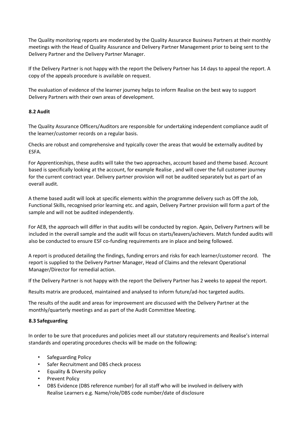The Quality monitoring reports are moderated by the Quality Assurance Business Partners at their monthly meetings with the Head of Quality Assurance and Delivery Partner Management prior to being sent to the Delivery Partner and the Delivery Partner Manager.

If the Delivery Partner is not happy with the report the Delivery Partner has 14 days to appeal the report. A copy of the appeals procedure is available on request.

The evaluation of evidence of the learner journey helps to inform Realise on the best way to support Delivery Partners with their own areas of development.

## **8.2 Audit**

The Quality Assurance Officers/Auditors are responsible for undertaking independent compliance audit of the learner/customer records on a regular basis.

Checks are robust and comprehensive and typically cover the areas that would be externally audited by ESFA.

For Apprenticeships, these audits will take the two approaches, account based and theme based. Account based is specifically looking at the account, for example Realise , and will cover the full customer journey for the current contract year. Delivery partner provision will not be audited separately but as part of an overall audit.

A theme based audit will look at specific elements within the programme delivery such as Off the Job, Functional Skills, recognised prior learning etc. and again, Delivery Partner provision will form a part of the sample and will not be audited independently.

For AEB, the approach will differ in that audits will be conducted by region. Again, Delivery Partners will be included in the overall sample and the audit will focus on starts/leavers/achievers. Match funded audits will also be conducted to ensure ESF co-funding requirements are in place and being followed.

A report is produced detailing the findings, funding errors and risks for each learner/customer record. The report is supplied to the Delivery Partner Manager, Head of Claims and the relevant Operational Manager/Director for remedial action.

If the Delivery Partner is not happy with the report the Delivery Partner has 2 weeks to appeal the report.

Results matrix are produced, maintained and analysed to inform future/ad-hoc targeted audits.

The results of the audit and areas for improvement are discussed with the Delivery Partner at the monthly/quarterly meetings and as part of the Audit Committee Meeting.

#### **8.3 Safeguarding**

In order to be sure that procedures and policies meet all our statutory requirements and Realise's internal standards and operating procedures checks will be made on the following:

- Safeguarding Policy
- Safer Recruitment and DBS check process
- Equality & Diversity policy
- Prevent Policy
- DBS Evidence (DBS reference number) for all staff who will be involved in delivery with Realise Learners e.g. Name/role/DBS code number/date of disclosure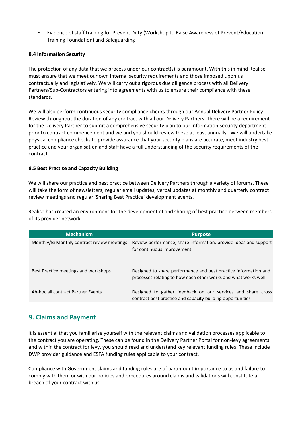• Evidence of staff training for Prevent Duty (Workshop to Raise Awareness of Prevent/Education Training Foundation) and Safeguarding

## **8.4 Information Security**

The protection of any data that we process under our contract(s) is paramount. With this in mind Realise must ensure that we meet our own internal security requirements and those imposed upon us contractually and legislatively. We will carry out a rigorous due diligence process with all Delivery Partners/Sub-Contractors entering into agreements with us to ensure their compliance with these standards.

We will also perform continuous security compliance checks through our Annual Delivery Partner Policy Review throughout the duration of any contract with all our Delivery Partners. There will be a requirement for the Delivery Partner to submit a comprehensive security plan to our information security department prior to contract commencement and we and you should review these at least annually. We will undertake physical compliance checks to provide assurance that your security plans are accurate, meet industry best practice and your organisation and staff have a full understanding of the security requirements of the contract.

### **8.5 Best Practise and Capacity Building**

We will share our practice and best practice between Delivery Partners through a variety of forums. These will take the form of newsletters, regular email updates, verbal updates at monthly and quarterly contract review meetings and regular 'Sharing Best Practice' development events.

Realise has created an environment for the development of and sharing of best practice between members of its provider network.

| <b>Mechanism</b>                            | <b>Purpose</b>                                                                                                                     |
|---------------------------------------------|------------------------------------------------------------------------------------------------------------------------------------|
| Monthly/Bi Monthly contract review meetings | Review performance, share information, provide ideas and support<br>for continuous improvement.                                    |
| Best Practice meetings and workshops        | Designed to share performance and best practice information and<br>processes relating to how each other works and what works well. |
| Ah-hoc all contract Partner Events          | Designed to gather feedback on our services and share cross<br>contract best practice and capacity building opportunities          |

# **9. Claims and Payment**

It is essential that you familiarise yourself with the relevant claims and validation processes applicable to the contract you are operating. These can be found in the Delivery Partner Portal for non-levy agreements and within the contract for levy, you should read and understand key relevant funding rules. These include DWP provider guidance and ESFA funding rules applicable to your contract.

Compliance with Government claims and funding rules are of paramount importance to us and failure to comply with them or with our policies and procedures around claims and validations will constitute a breach of your contract with us.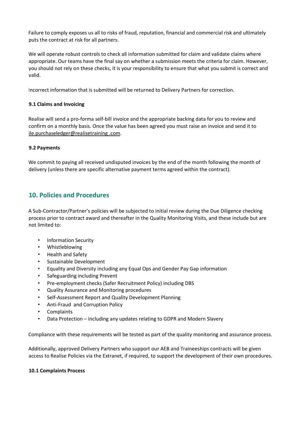Failure to comply exposes us all to risks of fraud, reputation, financial and commercial risk and ultimately puts the contract at risk for all partners.

We will operate robust controls to check all information submitted for claim and validate claims where appropriate. Our teams have the final say on whether a submission meets the criteria for claim. However, you should not rely on these checks, it is your responsibility to ensure that what you submit is correct and valid.

Incorrect information that is submitted will be returned to Delivery Partners for correction.

## **9.1 Claims and Invoicing**

Realise will send a pro-forma self-bill invoice and the appropriate backing data for you to review and confirm on a monthly basis. Once the value has been agreed you must raise an invoice and send it to ile.purchaseledger@realisetraining .com.

### **9.2 Payments**

We commit to paying all received undisputed invoices by the end of the month following the month of delivery (unless there are specific alternative payment terms agreed within the contract).

# **10. Policies and Procedures**

A Sub-Contractor/Partner's policies will be subjected to initial review during the Due Diligence checking process prior to contract award and thereafter in the Quality Monitoring Visits, and these include but are not limited to:

- Information Security
- Whistleblowing
- Health and Safety
- Sustainable Development
- Equality and Diversity including any Equal Ops and Gender Pay Gap information
- Safeguarding including Prevent
- Pre-employment checks (Safer Recruitment Policy) including DBS
- Quality Assurance and Monitoring procedures
- Self-Assessment Report and Quality Development Planning
- Anti-Fraud and Corruption Policy
- **Complaints**
- Data Protection including any updates relating to GDPR and Modern Slavery

Compliance with these requirements will be tested as part of the quality monitoring and assurance process.

Additionally, approved Delivery Partners who support our AEB and Traineeships contracts will be given access to Realise Policies via the Extranet, if required, to support the development of their own procedures.

#### **10.1 Complaints Process**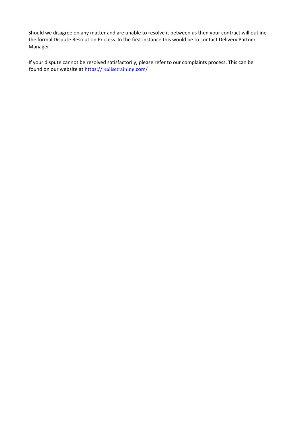Should we disagree on any matter and are unable to resolve it between us then your contract will outline the formal Dispute Resolution Process. In the first instance this would be to contact Delivery Partner Manager.

If your dispute cannot be resolved satisfactorily, please refer to our complaints process, This can be found on our website at [https://](https://learning-employment.com/)r[ealisetraining](https://learning-employment.com/).com/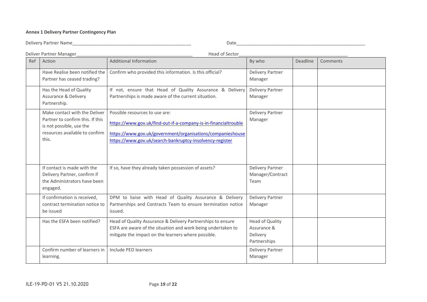### **Annex 1 Delivery Partner Contingency Plan**

Delivery Partner Name\_\_\_\_\_\_\_\_\_\_\_\_\_\_\_\_\_\_\_\_\_\_\_\_\_\_\_\_\_\_\_\_\_\_\_\_\_\_\_\_\_\_\_\_\_\_\_ Date\_\_\_\_\_\_\_\_\_\_\_\_\_\_\_\_\_\_\_\_\_\_\_\_\_\_\_\_\_\_\_\_\_\_\_\_\_\_\_\_\_\_\_\_\_\_\_\_\_\_\_

|     | Deliver Partner Manager                                                                                                                  | Head of Sector                                                                                                                                                                                                              |                                                                   |          |          |
|-----|------------------------------------------------------------------------------------------------------------------------------------------|-----------------------------------------------------------------------------------------------------------------------------------------------------------------------------------------------------------------------------|-------------------------------------------------------------------|----------|----------|
| Ref | Action                                                                                                                                   | <b>Additional Information</b>                                                                                                                                                                                               | By who                                                            | Deadline | Comments |
|     | Have Realise been notified the<br>Partner has ceased trading?                                                                            | Confirm who provided this information. Is this official?                                                                                                                                                                    | <b>Delivery Partner</b><br>Manager                                |          |          |
|     | Has the Head of Quality<br><b>Assurance &amp; Delivery</b><br>Partnership.                                                               | If not, ensure that Head of Quality Assurance & Delivery<br>Partnerships is made aware of the current situation.                                                                                                            | <b>Delivery Partner</b><br>Manager                                |          |          |
|     | Make contact with the Deliver<br>Partner to confirm this. If this<br>is not possible, use the<br>resources available to confirm<br>this. | Possible resources to use are:<br>https://www.gov.uk/find-out-if-a-company-is-in-financialtrouble<br>https://www.gov.uk/government/organisations/companieshouse<br>https://www.gov.uk/search-bankruptcy-insolvency-register | <b>Delivery Partner</b><br>Manager                                |          |          |
|     | If contact is made with the<br>Delivery Partner, confirm if<br>the Administrators have been<br>engaged.                                  | If so, have they already taken possession of assets?                                                                                                                                                                        | <b>Delivery Partner</b><br>Manager/Contract<br>Team               |          |          |
|     | If confirmation is received,<br>contract termination notice to<br>be issued                                                              | DPM to liaise with Head of Quality Assurance & Delivery<br>Partnerships and Contracts Team to ensure termination notice<br>issued.                                                                                          | <b>Delivery Partner</b><br>Manager                                |          |          |
|     | Has the ESFA been notified?                                                                                                              | Head of Quality Assurance & Delivery Partnerships to ensure<br>ESFA are aware of the situation and work being undertaken to<br>mitigate the impact on the learners where possible.                                          | <b>Head of Quality</b><br>Assurance &<br>Delivery<br>Partnerships |          |          |
|     | Confirm number of learners in<br>learning.                                                                                               | Include PED learners                                                                                                                                                                                                        | <b>Delivery Partner</b><br>Manager                                |          |          |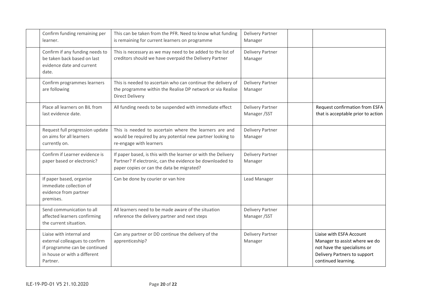| Confirm funding remaining per<br>learner.                                                                                               | This can be taken from the PFR. Need to know what funding<br>is remaining for current learners on programme                                                             | <b>Delivery Partner</b><br>Manager      |                                                                                                                                                 |
|-----------------------------------------------------------------------------------------------------------------------------------------|-------------------------------------------------------------------------------------------------------------------------------------------------------------------------|-----------------------------------------|-------------------------------------------------------------------------------------------------------------------------------------------------|
| Confirm if any funding needs to<br>be taken back based on last<br>evidence date and current<br>date.                                    | This is necessary as we may need to be added to the list of<br>creditors should we have overpaid the Delivery Partner                                                   | <b>Delivery Partner</b><br>Manager      |                                                                                                                                                 |
| Confirm programmes learners<br>are following                                                                                            | This is needed to ascertain who can continue the delivery of<br>the programme within the Realise DP network or via Realise<br><b>Direct Delivery</b>                    | <b>Delivery Partner</b><br>Manager      |                                                                                                                                                 |
| Place all learners on BIL from<br>last evidence date.                                                                                   | All funding needs to be suspended with immediate effect                                                                                                                 | <b>Delivery Partner</b><br>Manager / ST | Request confirmation from ESFA<br>that is acceptable prior to action                                                                            |
| Request full progression update<br>on aims for all learners<br>currently on.                                                            | This is needed to ascertain where the learners are and<br>would be required by any potential new partner looking to<br>re-engage with learners                          | <b>Delivery Partner</b><br>Manager      |                                                                                                                                                 |
| Confirm if Learner evidence is<br>paper based or electronic?                                                                            | If paper based, is this with the learner or with the Delivery<br>Partner? If electronic, can the evidence be downloaded to<br>paper copies or can the data be migrated? | <b>Delivery Partner</b><br>Manager      |                                                                                                                                                 |
| If paper based, organise<br>immediate collection of<br>evidence from partner<br>premises.                                               | Can be done by courier or van hire                                                                                                                                      | Lead Manager                            |                                                                                                                                                 |
| Send communication to all<br>affected learners confirming<br>the current situation.                                                     | All learners need to be made aware of the situation<br>reference the delivery partner and next steps                                                                    | <b>Delivery Partner</b><br>Manager / ST |                                                                                                                                                 |
| Liaise with internal and<br>external colleagues to confirm<br>if programme can be continued<br>in house or with a different<br>Partner. | Can any partner or DD continue the delivery of the<br>apprenticeship?                                                                                                   | <b>Delivery Partner</b><br>Manager      | Liaise with ESFA Account<br>Manager to assist where we do<br>not have the specialisms or<br>Delivery Partners to support<br>continued learning. |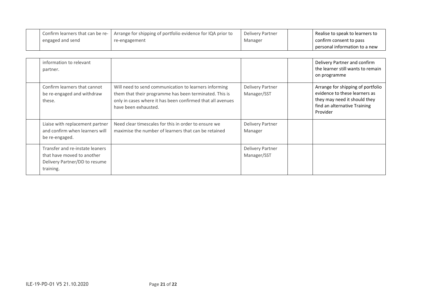| Confirm learners that can be re- | I Arrange for shipping of portfolio evidence for IQA prior to | Delivery Partner | Realise to speak to learners to |
|----------------------------------|---------------------------------------------------------------|------------------|---------------------------------|
| engaged and send                 | re-engagement                                                 | Manager          | confirm consent to pass         |
|                                  |                                                               |                  | personal information to a new   |

| information to relevant<br>partner.                                                                         |                                                                                                                                                                                                       |                                        | Delivery Partner and confirm<br>the learner still wants to remain<br>on programme                                                              |
|-------------------------------------------------------------------------------------------------------------|-------------------------------------------------------------------------------------------------------------------------------------------------------------------------------------------------------|----------------------------------------|------------------------------------------------------------------------------------------------------------------------------------------------|
| Confirm learners that cannot<br>be re-engaged and withdraw<br>these.                                        | Will need to send communication to learners informing<br>them that their programme has been terminated. This is<br>only in cases where it has been confirmed that all avenues<br>have been exhausted. | <b>Delivery Partner</b><br>Manager/SST | Arrange for shipping of portfolio<br>evidence to these learners as<br>they may need it should they<br>find an alternative Training<br>Provider |
| Liaise with replacement partner<br>and confirm when learners will<br>be re-engaged.                         | Need clear timescales for this in order to ensure we<br>maximise the number of learners that can be retained                                                                                          | <b>Delivery Partner</b><br>Manager     |                                                                                                                                                |
| Transfer and re-instate leaners<br>that have moved to another<br>Delivery Partner/DD to resume<br>training. |                                                                                                                                                                                                       | <b>Delivery Partner</b><br>Manager/SST |                                                                                                                                                |